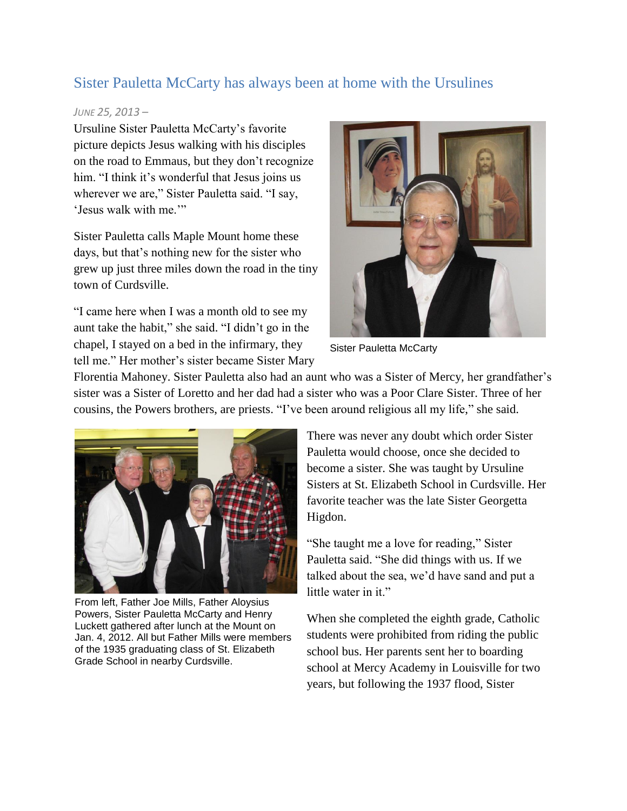## Sister Pauletta McCarty has always been at home with the Ursulines

## *JUNE 25, 2013 –*

Ursuline Sister Pauletta McCarty's favorite picture depicts Jesus walking with his disciples on the road to Emmaus, but they don't recognize him. "I think it's wonderful that Jesus joins us wherever we are," Sister Pauletta said. "I say, 'Jesus walk with me.'"

Sister Pauletta calls Maple Mount home these days, but that's nothing new for the sister who grew up just three miles down the road in the tiny town of Curdsville.

"I came here when I was a month old to see my aunt take the habit," she said. "I didn't go in the chapel, I stayed on a bed in the infirmary, they tell me." Her mother's sister became Sister Mary



Sister Pauletta McCarty

Florentia Mahoney. Sister Pauletta also had an aunt who was a Sister of Mercy, her grandfather's sister was a Sister of Loretto and her dad had a sister who was a Poor Clare Sister. Three of her cousins, the Powers brothers, are priests. "I've been around religious all my life," she said.



From left, Father Joe Mills, Father Aloysius Powers, Sister Pauletta McCarty and Henry Luckett gathered after lunch at the Mount on Jan. 4, 2012. All but Father Mills were members of the 1935 graduating class of St. Elizabeth Grade School in nearby Curdsville.

There was never any doubt which order Sister Pauletta would choose, once she decided to become a sister. She was taught by Ursuline Sisters at St. Elizabeth School in Curdsville. Her favorite teacher was the late Sister Georgetta Higdon.

"She taught me a love for reading," Sister Pauletta said. "She did things with us. If we talked about the sea, we'd have sand and put a little water in it."

When she completed the eighth grade, Catholic students were prohibited from riding the public school bus. Her parents sent her to boarding school at Mercy Academy in Louisville for two years, but following the 1937 flood, Sister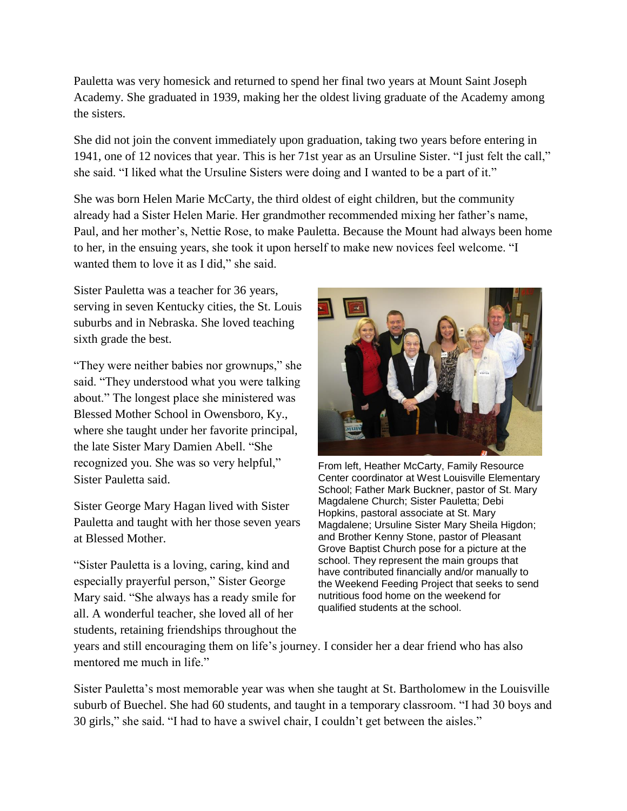Pauletta was very homesick and returned to spend her final two years at Mount Saint Joseph Academy. She graduated in 1939, making her the oldest living graduate of the Academy among the sisters.

She did not join the convent immediately upon graduation, taking two years before entering in 1941, one of 12 novices that year. This is her 71st year as an Ursuline Sister. "I just felt the call," she said. "I liked what the Ursuline Sisters were doing and I wanted to be a part of it."

She was born Helen Marie McCarty, the third oldest of eight children, but the community already had a Sister Helen Marie. Her grandmother recommended mixing her father's name, Paul, and her mother's, Nettie Rose, to make Pauletta. Because the Mount had always been home to her, in the ensuing years, she took it upon herself to make new novices feel welcome. "I wanted them to love it as I did," she said.

Sister Pauletta was a teacher for 36 years, serving in seven Kentucky cities, the St. Louis suburbs and in Nebraska. She loved teaching sixth grade the best.

"They were neither babies nor grownups," she said. "They understood what you were talking about." The longest place she ministered was Blessed Mother School in Owensboro, Ky., where she taught under her favorite principal, the late Sister Mary Damien Abell. "She recognized you. She was so very helpful," Sister Pauletta said.

Sister George Mary Hagan lived with Sister Pauletta and taught with her those seven years at Blessed Mother.

"Sister Pauletta is a loving, caring, kind and especially prayerful person," Sister George Mary said. "She always has a ready smile for all. A wonderful teacher, she loved all of her students, retaining friendships throughout the



From left, Heather McCarty, Family Resource Center coordinator at West Louisville Elementary School; Father Mark Buckner, pastor of St. Mary Magdalene Church; Sister Pauletta; Debi Hopkins, pastoral associate at St. Mary Magdalene; Ursuline Sister Mary Sheila Higdon; and Brother Kenny Stone, pastor of Pleasant Grove Baptist Church pose for a picture at the school. They represent the main groups that have contributed financially and/or manually to the Weekend Feeding Project that seeks to send nutritious food home on the weekend for qualified students at the school.

years and still encouraging them on life's journey. I consider her a dear friend who has also mentored me much in life."

Sister Pauletta's most memorable year was when she taught at St. Bartholomew in the Louisville suburb of Buechel. She had 60 students, and taught in a temporary classroom. "I had 30 boys and 30 girls," she said. "I had to have a swivel chair, I couldn't get between the aisles."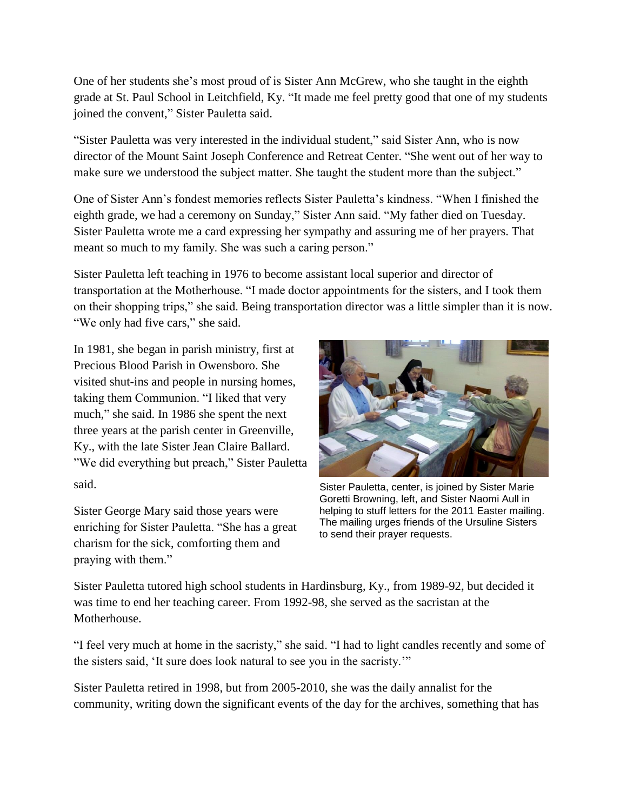One of her students she's most proud of is Sister Ann McGrew, who she taught in the eighth grade at St. Paul School in Leitchfield, Ky. "It made me feel pretty good that one of my students joined the convent," Sister Pauletta said.

"Sister Pauletta was very interested in the individual student," said Sister Ann, who is now director of the Mount Saint Joseph Conference and Retreat Center. "She went out of her way to make sure we understood the subject matter. She taught the student more than the subject."

One of Sister Ann's fondest memories reflects Sister Pauletta's kindness. "When I finished the eighth grade, we had a ceremony on Sunday," Sister Ann said. "My father died on Tuesday. Sister Pauletta wrote me a card expressing her sympathy and assuring me of her prayers. That meant so much to my family. She was such a caring person."

Sister Pauletta left teaching in 1976 to become assistant local superior and director of transportation at the Motherhouse. "I made doctor appointments for the sisters, and I took them on their shopping trips," she said. Being transportation director was a little simpler than it is now. "We only had five cars," she said.

In 1981, she began in parish ministry, first at Precious Blood Parish in Owensboro. She visited shut-ins and people in nursing homes, taking them Communion. "I liked that very much," she said. In 1986 she spent the next three years at the parish center in Greenville, Ky., with the late Sister Jean Claire Ballard. "We did everything but preach," Sister Pauletta said.

Sister George Mary said those years were enriching for Sister Pauletta. "She has a great charism for the sick, comforting them and praying with them."



Sister Pauletta, center, is joined by Sister Marie Goretti Browning, left, and Sister Naomi Aull in helping to stuff letters for the 2011 Easter mailing. The mailing urges friends of the Ursuline Sisters to send their prayer requests.

Sister Pauletta tutored high school students in Hardinsburg, Ky., from 1989-92, but decided it was time to end her teaching career. From 1992-98, she served as the sacristan at the Motherhouse.

"I feel very much at home in the sacristy," she said. "I had to light candles recently and some of the sisters said, 'It sure does look natural to see you in the sacristy.'"

Sister Pauletta retired in 1998, but from 2005-2010, she was the daily annalist for the community, writing down the significant events of the day for the archives, something that has